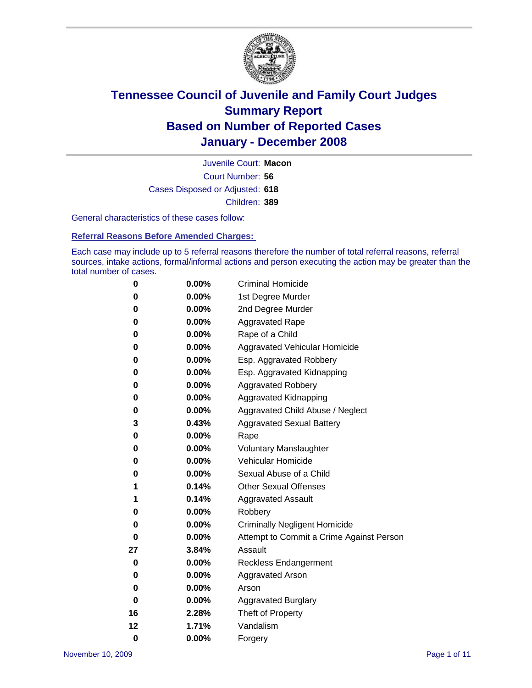

Court Number: **56** Juvenile Court: **Macon** Cases Disposed or Adjusted: **618** Children: **389**

General characteristics of these cases follow:

**Referral Reasons Before Amended Charges:** 

Each case may include up to 5 referral reasons therefore the number of total referral reasons, referral sources, intake actions, formal/informal actions and person executing the action may be greater than the total number of cases.

| 0  | 0.00%    | <b>Criminal Homicide</b>                 |
|----|----------|------------------------------------------|
| 0  | 0.00%    | 1st Degree Murder                        |
| 0  | $0.00\%$ | 2nd Degree Murder                        |
| 0  | 0.00%    | <b>Aggravated Rape</b>                   |
| 0  | 0.00%    | Rape of a Child                          |
| 0  | 0.00%    | Aggravated Vehicular Homicide            |
| 0  | 0.00%    | Esp. Aggravated Robbery                  |
| 0  | 0.00%    | Esp. Aggravated Kidnapping               |
| 0  | 0.00%    | <b>Aggravated Robbery</b>                |
| 0  | $0.00\%$ | Aggravated Kidnapping                    |
| 0  | 0.00%    | Aggravated Child Abuse / Neglect         |
| 3  | 0.43%    | <b>Aggravated Sexual Battery</b>         |
| 0  | 0.00%    | Rape                                     |
| 0  | 0.00%    | <b>Voluntary Manslaughter</b>            |
| 0  | 0.00%    | Vehicular Homicide                       |
| 0  | 0.00%    | Sexual Abuse of a Child                  |
| 1  | 0.14%    | <b>Other Sexual Offenses</b>             |
| 1  | 0.14%    | <b>Aggravated Assault</b>                |
| 0  | $0.00\%$ | Robbery                                  |
| 0  | 0.00%    | <b>Criminally Negligent Homicide</b>     |
| 0  | 0.00%    | Attempt to Commit a Crime Against Person |
| 27 | 3.84%    | Assault                                  |
| 0  | 0.00%    | <b>Reckless Endangerment</b>             |
| 0  | 0.00%    | Aggravated Arson                         |
| 0  | 0.00%    | Arson                                    |
| 0  | $0.00\%$ | <b>Aggravated Burglary</b>               |
| 16 | 2.28%    | Theft of Property                        |
| 12 | 1.71%    | Vandalism                                |
| 0  | 0.00%    | Forgery                                  |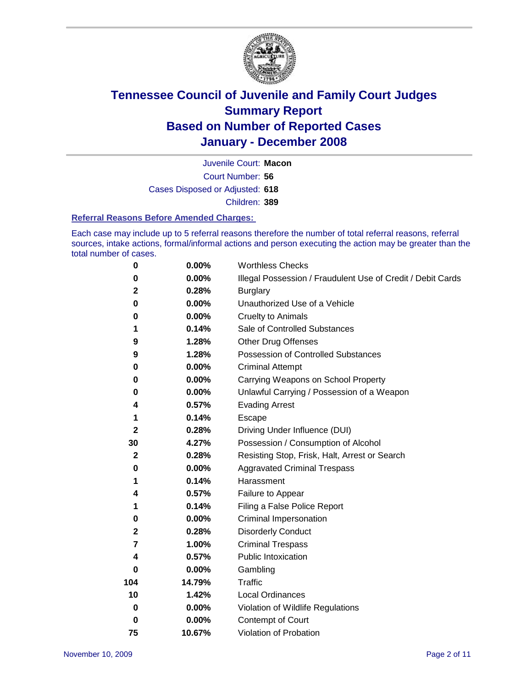

Court Number: **56** Juvenile Court: **Macon** Cases Disposed or Adjusted: **618** Children: **389**

#### **Referral Reasons Before Amended Charges:**

Each case may include up to 5 referral reasons therefore the number of total referral reasons, referral sources, intake actions, formal/informal actions and person executing the action may be greater than the total number of cases.

| 0              | 0.00%    | <b>Worthless Checks</b>                                     |
|----------------|----------|-------------------------------------------------------------|
| 0              | 0.00%    | Illegal Possession / Fraudulent Use of Credit / Debit Cards |
| $\mathbf 2$    | 0.28%    | <b>Burglary</b>                                             |
| 0              | $0.00\%$ | Unauthorized Use of a Vehicle                               |
| 0              | 0.00%    | <b>Cruelty to Animals</b>                                   |
| 1              | 0.14%    | Sale of Controlled Substances                               |
| 9              | 1.28%    | <b>Other Drug Offenses</b>                                  |
| 9              | 1.28%    | Possession of Controlled Substances                         |
| 0              | 0.00%    | <b>Criminal Attempt</b>                                     |
| 0              | 0.00%    | Carrying Weapons on School Property                         |
| 0              | 0.00%    | Unlawful Carrying / Possession of a Weapon                  |
| 4              | 0.57%    | <b>Evading Arrest</b>                                       |
| 1              | 0.14%    | Escape                                                      |
| $\mathbf 2$    | 0.28%    | Driving Under Influence (DUI)                               |
| 30             | 4.27%    | Possession / Consumption of Alcohol                         |
| $\mathbf{2}$   | 0.28%    | Resisting Stop, Frisk, Halt, Arrest or Search               |
| 0              | 0.00%    | <b>Aggravated Criminal Trespass</b>                         |
| 1              | 0.14%    | Harassment                                                  |
| 4              | 0.57%    | Failure to Appear                                           |
| 1              | 0.14%    | Filing a False Police Report                                |
| 0              | 0.00%    | Criminal Impersonation                                      |
| $\mathbf 2$    | 0.28%    | <b>Disorderly Conduct</b>                                   |
| $\overline{7}$ | 1.00%    | <b>Criminal Trespass</b>                                    |
| 4              | 0.57%    | <b>Public Intoxication</b>                                  |
| 0              | 0.00%    | Gambling                                                    |
| 104            | 14.79%   | Traffic                                                     |
| 10             | 1.42%    | <b>Local Ordinances</b>                                     |
| 0              | $0.00\%$ | Violation of Wildlife Regulations                           |
| 0              | 0.00%    | Contempt of Court                                           |
| 75             | 10.67%   | Violation of Probation                                      |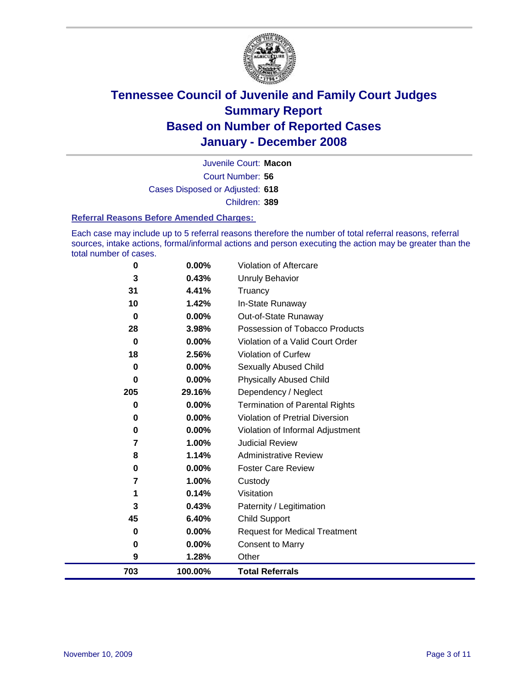

Court Number: **56** Juvenile Court: **Macon** Cases Disposed or Adjusted: **618** Children: **389**

#### **Referral Reasons Before Amended Charges:**

Each case may include up to 5 referral reasons therefore the number of total referral reasons, referral sources, intake actions, formal/informal actions and person executing the action may be greater than the total number of cases.

| 0        | 0.00%   | Violation of Aftercare                 |
|----------|---------|----------------------------------------|
| 3        | 0.43%   | <b>Unruly Behavior</b>                 |
| 31       | 4.41%   | Truancy                                |
| 10       | 1.42%   | In-State Runaway                       |
| $\bf{0}$ | 0.00%   | Out-of-State Runaway                   |
| 28       | 3.98%   | Possession of Tobacco Products         |
| 0        | 0.00%   | Violation of a Valid Court Order       |
| 18       | 2.56%   | Violation of Curfew                    |
| 0        | 0.00%   | Sexually Abused Child                  |
| 0        | 0.00%   | <b>Physically Abused Child</b>         |
| 205      | 29.16%  | Dependency / Neglect                   |
| 0        | 0.00%   | <b>Termination of Parental Rights</b>  |
| 0        | 0.00%   | <b>Violation of Pretrial Diversion</b> |
| 0        | 0.00%   | Violation of Informal Adjustment       |
| 7        | 1.00%   | <b>Judicial Review</b>                 |
| 8        | 1.14%   | <b>Administrative Review</b>           |
| 0        | 0.00%   | <b>Foster Care Review</b>              |
| 7        | 1.00%   | Custody                                |
| 1        | 0.14%   | Visitation                             |
| 3        | 0.43%   | Paternity / Legitimation               |
| 45       | 6.40%   | <b>Child Support</b>                   |
| 0        | 0.00%   | <b>Request for Medical Treatment</b>   |
| 0        | 0.00%   | <b>Consent to Marry</b>                |
| 9        | 1.28%   | Other                                  |
| 703      | 100.00% | <b>Total Referrals</b>                 |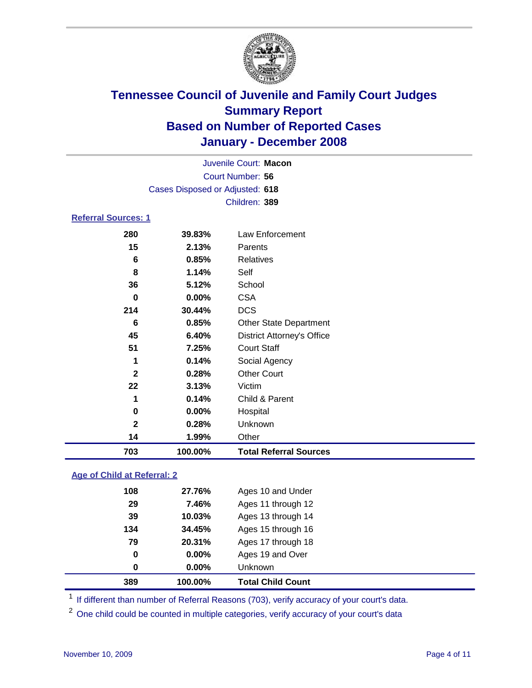

|                            | Juvenile Court: Macon           |                               |  |  |  |  |
|----------------------------|---------------------------------|-------------------------------|--|--|--|--|
|                            | Court Number: 56                |                               |  |  |  |  |
|                            | Cases Disposed or Adjusted: 618 |                               |  |  |  |  |
|                            |                                 | Children: 389                 |  |  |  |  |
| <b>Referral Sources: 1</b> |                                 |                               |  |  |  |  |
| 280                        | 39.83%                          | Law Enforcement               |  |  |  |  |
| 15                         | 2.13%                           | Parents                       |  |  |  |  |
| 6                          | 0.85%                           | Relatives                     |  |  |  |  |
| 8                          | 1.14%                           | Self                          |  |  |  |  |
| 36                         | 5.12%                           | School                        |  |  |  |  |
| 0                          | $0.00\%$                        | <b>CSA</b>                    |  |  |  |  |
| 214                        | 30.44%                          | <b>DCS</b>                    |  |  |  |  |
| 6                          | 0.85%                           | <b>Other State Department</b> |  |  |  |  |

| 703          | 100.00% | <b>Total Referral Sources</b>     |
|--------------|---------|-----------------------------------|
| 14           | 1.99%   | Other                             |
| $\mathbf{2}$ | 0.28%   | Unknown                           |
| 0            | 0.00%   | Hospital                          |
| 1            | 0.14%   | Child & Parent                    |
| 22           | 3.13%   | Victim                            |
| $\mathbf{2}$ | 0.28%   | <b>Other Court</b>                |
| 1            | 0.14%   | Social Agency                     |
| 51           | 7.25%   | <b>Court Staff</b>                |
| 45           | 6.40%   | <b>District Attorney's Office</b> |
| 6            | 0.85%   | <b>Other State Department</b>     |
| 214          | 30.44%  | <b>DCS</b>                        |

### **Age of Child at Referral: 2**

| 389         | 100.00% | <b>Total Child Count</b> |
|-------------|---------|--------------------------|
| 0           | 0.00%   | <b>Unknown</b>           |
| $\mathbf 0$ | 0.00%   | Ages 19 and Over         |
| 79          | 20.31%  | Ages 17 through 18       |
| 134         | 34.45%  | Ages 15 through 16       |
| 39          | 10.03%  | Ages 13 through 14       |
| 29          | 7.46%   | Ages 11 through 12       |
| 108         | 27.76%  | Ages 10 and Under        |
|             |         |                          |

<sup>1</sup> If different than number of Referral Reasons (703), verify accuracy of your court's data.

<sup>2</sup> One child could be counted in multiple categories, verify accuracy of your court's data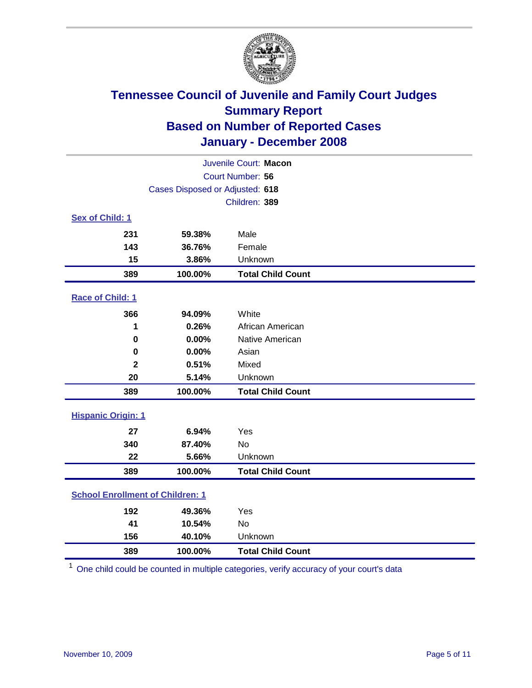

| Juvenile Court: Macon                   |                                 |                          |  |  |  |
|-----------------------------------------|---------------------------------|--------------------------|--|--|--|
| Court Number: 56                        |                                 |                          |  |  |  |
|                                         | Cases Disposed or Adjusted: 618 |                          |  |  |  |
|                                         |                                 | Children: 389            |  |  |  |
| Sex of Child: 1                         |                                 |                          |  |  |  |
| 231                                     | 59.38%                          | Male                     |  |  |  |
| 143                                     | 36.76%                          | Female                   |  |  |  |
| 15                                      | 3.86%                           | Unknown                  |  |  |  |
| 389                                     | 100.00%                         | <b>Total Child Count</b> |  |  |  |
| Race of Child: 1                        |                                 |                          |  |  |  |
| 366                                     | 94.09%                          | White                    |  |  |  |
| 1                                       | 0.26%                           | African American         |  |  |  |
| 0                                       | 0.00%                           | Native American          |  |  |  |
| 0                                       | 0.00%                           | Asian                    |  |  |  |
| $\overline{\mathbf{2}}$                 | 0.51%                           | Mixed                    |  |  |  |
| 20                                      | 5.14%                           | Unknown                  |  |  |  |
| 389                                     | 100.00%                         | <b>Total Child Count</b> |  |  |  |
| <b>Hispanic Origin: 1</b>               |                                 |                          |  |  |  |
| 27                                      | 6.94%                           | Yes                      |  |  |  |
| 340                                     | 87.40%                          | <b>No</b>                |  |  |  |
| 22                                      | 5.66%                           | Unknown                  |  |  |  |
| 389                                     | 100.00%                         | <b>Total Child Count</b> |  |  |  |
| <b>School Enrollment of Children: 1</b> |                                 |                          |  |  |  |
| 192                                     | 49.36%                          | Yes                      |  |  |  |
| 41                                      | 10.54%                          | No                       |  |  |  |
| 156                                     | 40.10%                          | Unknown                  |  |  |  |
| 389                                     | 100.00%                         | <b>Total Child Count</b> |  |  |  |

One child could be counted in multiple categories, verify accuracy of your court's data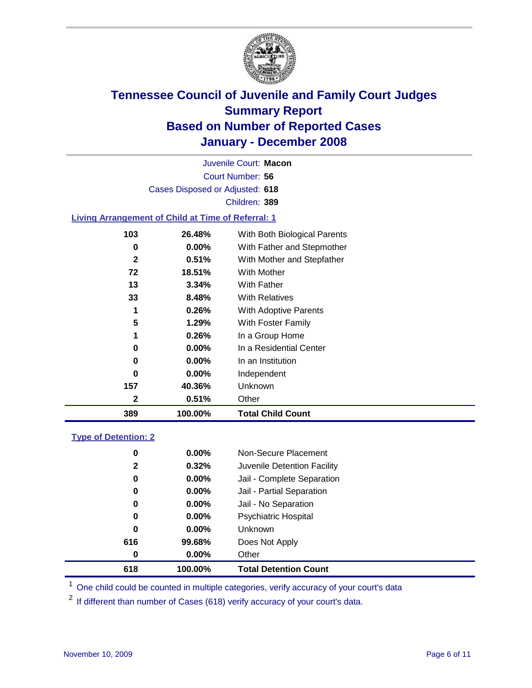

Court Number: **56** Juvenile Court: **Macon** Cases Disposed or Adjusted: **618** Children: **389**

#### **Living Arrangement of Child at Time of Referral: 1**

| 389          | 100.00%  | <b>Total Child Count</b>     |
|--------------|----------|------------------------------|
| 2            | 0.51%    | Other                        |
| 157          | 40.36%   | <b>Unknown</b>               |
| 0            | $0.00\%$ | Independent                  |
| 0            | $0.00\%$ | In an Institution            |
| 0            | $0.00\%$ | In a Residential Center      |
| 1            | 0.26%    | In a Group Home              |
| 5            | 1.29%    | With Foster Family           |
| 1            | 0.26%    | <b>With Adoptive Parents</b> |
| 33           | 8.48%    | <b>With Relatives</b>        |
| 13           | 3.34%    | With Father                  |
| 72           | 18.51%   | With Mother                  |
| $\mathbf{2}$ | 0.51%    | With Mother and Stepfather   |
| 0            | $0.00\%$ | With Father and Stepmother   |
| 103          | 26.48%   | With Both Biological Parents |
|              |          |                              |

#### **Type of Detention: 2**

| 618          | 100.00%  | <b>Total Detention Count</b> |
|--------------|----------|------------------------------|
| 0            | 0.00%    | Other                        |
| 616          | 99.68%   | Does Not Apply               |
| 0            | $0.00\%$ | <b>Unknown</b>               |
| 0            | $0.00\%$ | <b>Psychiatric Hospital</b>  |
| 0            | 0.00%    | Jail - No Separation         |
| 0            | $0.00\%$ | Jail - Partial Separation    |
| 0            | $0.00\%$ | Jail - Complete Separation   |
| $\mathbf{2}$ | 0.32%    | Juvenile Detention Facility  |
| 0            | $0.00\%$ | Non-Secure Placement         |
|              |          |                              |

<sup>1</sup> One child could be counted in multiple categories, verify accuracy of your court's data

<sup>2</sup> If different than number of Cases (618) verify accuracy of your court's data.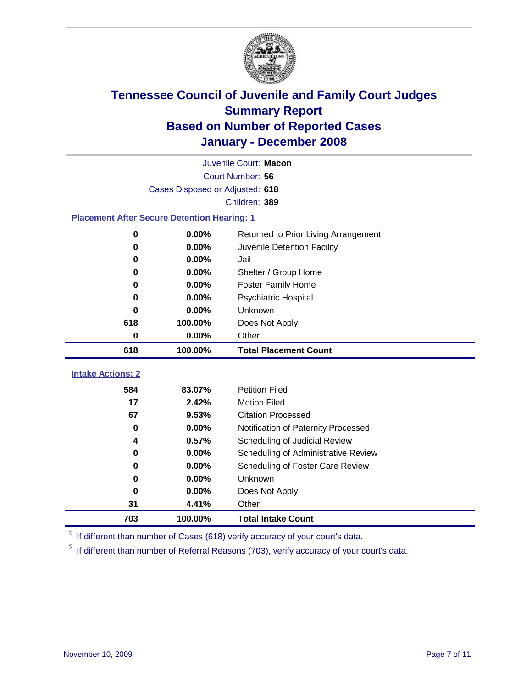

|                                                    | Juvenile Court: Macon           |                                      |  |  |  |
|----------------------------------------------------|---------------------------------|--------------------------------------|--|--|--|
|                                                    | Court Number: 56                |                                      |  |  |  |
|                                                    | Cases Disposed or Adjusted: 618 |                                      |  |  |  |
|                                                    |                                 | Children: 389                        |  |  |  |
| <b>Placement After Secure Detention Hearing: 1</b> |                                 |                                      |  |  |  |
| 0                                                  | 0.00%                           | Returned to Prior Living Arrangement |  |  |  |
| 0                                                  | 0.00%                           | Juvenile Detention Facility          |  |  |  |
| 0                                                  | 0.00%                           | Jail                                 |  |  |  |
| 0                                                  | 0.00%                           | Shelter / Group Home                 |  |  |  |
| 0                                                  | 0.00%                           | <b>Foster Family Home</b>            |  |  |  |
| 0                                                  | 0.00%                           | Psychiatric Hospital                 |  |  |  |
| 0                                                  | 0.00%                           | Unknown                              |  |  |  |
| 618                                                | 100.00%                         | Does Not Apply                       |  |  |  |
| 0                                                  | 0.00%                           | Other                                |  |  |  |
| 618                                                | 100.00%                         | <b>Total Placement Count</b>         |  |  |  |
| <b>Intake Actions: 2</b>                           |                                 |                                      |  |  |  |
|                                                    |                                 |                                      |  |  |  |
| 584                                                | 83.07%                          | <b>Petition Filed</b>                |  |  |  |
| 17                                                 | 2.42%                           | <b>Motion Filed</b>                  |  |  |  |
| 67                                                 | 9.53%                           | <b>Citation Processed</b>            |  |  |  |
| 0                                                  | $0.00\%$                        | Notification of Paternity Processed  |  |  |  |
| 4                                                  | 0.57%                           | Scheduling of Judicial Review        |  |  |  |
| 0                                                  | 0.00%                           | Scheduling of Administrative Review  |  |  |  |
| 0                                                  | 0.00%                           | Scheduling of Foster Care Review     |  |  |  |
| 0                                                  | 0.00%                           | Unknown                              |  |  |  |
| 0                                                  | 0.00%                           | Does Not Apply                       |  |  |  |
| 31                                                 | 4.41%                           | Other                                |  |  |  |
| 703                                                | 100.00%                         | <b>Total Intake Count</b>            |  |  |  |

<sup>1</sup> If different than number of Cases (618) verify accuracy of your court's data.

<sup>2</sup> If different than number of Referral Reasons (703), verify accuracy of your court's data.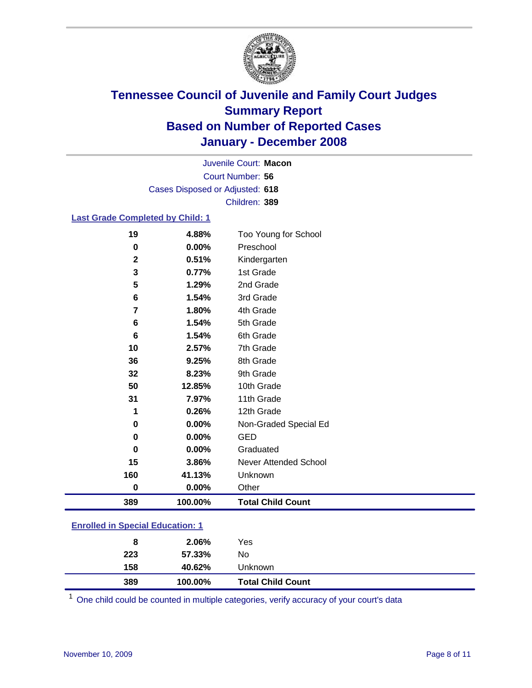

Court Number: **56** Juvenile Court: **Macon** Cases Disposed or Adjusted: **618** Children: **389**

### **Last Grade Completed by Child: 1**

| 19          | 4.88%   | Too Young for School     |
|-------------|---------|--------------------------|
| 0           | 0.00%   | Preschool                |
| $\mathbf 2$ | 0.51%   | Kindergarten             |
| 3           | 0.77%   | 1st Grade                |
| 5           | 1.29%   | 2nd Grade                |
| 6           | 1.54%   | 3rd Grade                |
| 7           | 1.80%   | 4th Grade                |
| 6           | 1.54%   | 5th Grade                |
| 6           | 1.54%   | 6th Grade                |
| 10          | 2.57%   | 7th Grade                |
| 36          | 9.25%   | 8th Grade                |
| 32          | 8.23%   | 9th Grade                |
| 50          | 12.85%  | 10th Grade               |
| 31          | 7.97%   | 11th Grade               |
| 1           | 0.26%   | 12th Grade               |
| 0           | 0.00%   | Non-Graded Special Ed    |
| 0           | 0.00%   | <b>GED</b>               |
| 0           | 0.00%   | Graduated                |
| 15          | 3.86%   | Never Attended School    |
| 160         | 41.13%  | Unknown                  |
| $\bf{0}$    | 0.00%   | Other                    |
| 389         | 100.00% | <b>Total Child Count</b> |

### **Enrolled in Special Education: 1**

| 8          | 2.06%            | Yes                      |
|------------|------------------|--------------------------|
| 223<br>158 | 57.33%<br>40.62% | No<br>Unknown            |
| 389        | 100.00%          | <b>Total Child Count</b> |

One child could be counted in multiple categories, verify accuracy of your court's data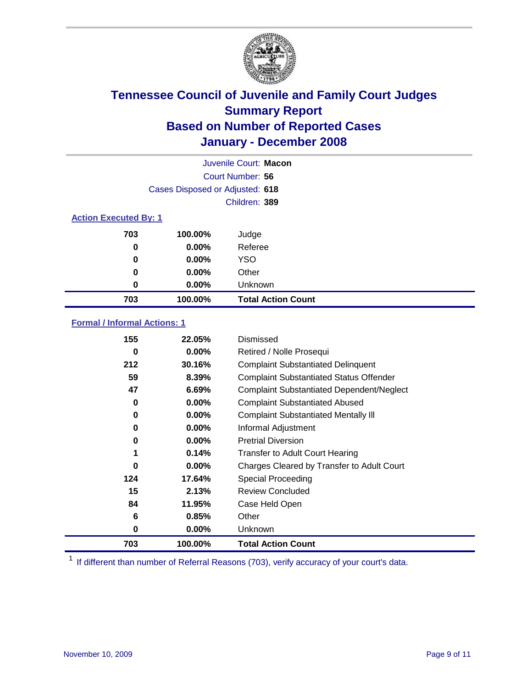

|                              |                                 | Juvenile Court: Macon     |
|------------------------------|---------------------------------|---------------------------|
|                              |                                 | Court Number: 56          |
|                              | Cases Disposed or Adjusted: 618 |                           |
|                              |                                 | Children: 389             |
| <b>Action Executed By: 1</b> |                                 |                           |
| 703                          | 100.00%                         | Judge                     |
| 0                            | $0.00\%$                        | Referee                   |
| 0                            | $0.00\%$                        | <b>YSO</b>                |
| 0                            | $0.00\%$                        | Other                     |
| 0                            | $0.00\%$                        | Unknown                   |
| 703                          | 100.00%                         | <b>Total Action Count</b> |

### **Formal / Informal Actions: 1**

| 155 | 22.05%   | Dismissed                                        |
|-----|----------|--------------------------------------------------|
| 0   | $0.00\%$ | Retired / Nolle Prosequi                         |
| 212 | 30.16%   | <b>Complaint Substantiated Delinquent</b>        |
| 59  | 8.39%    | <b>Complaint Substantiated Status Offender</b>   |
| 47  | 6.69%    | <b>Complaint Substantiated Dependent/Neglect</b> |
| 0   | $0.00\%$ | <b>Complaint Substantiated Abused</b>            |
| 0   | $0.00\%$ | <b>Complaint Substantiated Mentally III</b>      |
| 0   | $0.00\%$ | Informal Adjustment                              |
| 0   | $0.00\%$ | <b>Pretrial Diversion</b>                        |
| 1   | 0.14%    | <b>Transfer to Adult Court Hearing</b>           |
| 0   | $0.00\%$ | Charges Cleared by Transfer to Adult Court       |
| 124 | 17.64%   | Special Proceeding                               |
| 15  | 2.13%    | <b>Review Concluded</b>                          |
| 84  | 11.95%   | Case Held Open                                   |
| 6   | 0.85%    | Other                                            |
| 0   | $0.00\%$ | Unknown                                          |
| 703 | 100.00%  | <b>Total Action Count</b>                        |

<sup>1</sup> If different than number of Referral Reasons (703), verify accuracy of your court's data.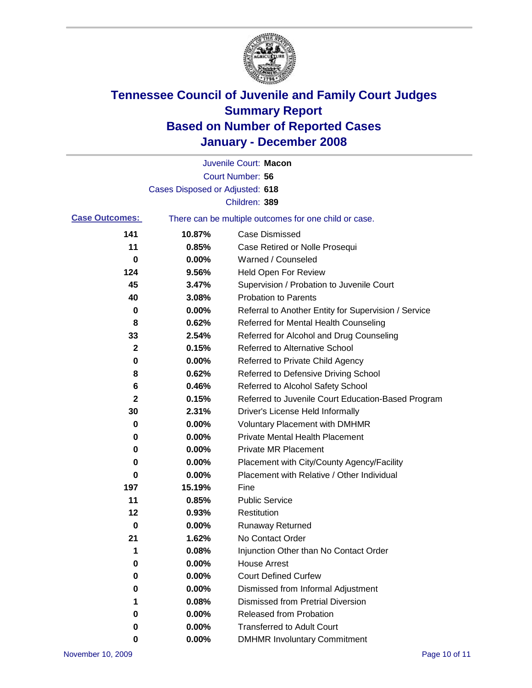

|                       |                                 | Juvenile Court: Macon                                 |
|-----------------------|---------------------------------|-------------------------------------------------------|
|                       |                                 | Court Number: 56                                      |
|                       | Cases Disposed or Adjusted: 618 |                                                       |
|                       |                                 | Children: 389                                         |
| <b>Case Outcomes:</b> |                                 | There can be multiple outcomes for one child or case. |
| 141                   | 10.87%                          | <b>Case Dismissed</b>                                 |
| 11                    | 0.85%                           | Case Retired or Nolle Prosequi                        |
| 0                     | 0.00%                           | Warned / Counseled                                    |
| 124                   | 9.56%                           | <b>Held Open For Review</b>                           |
| 45                    | 3.47%                           | Supervision / Probation to Juvenile Court             |
| 40                    | 3.08%                           | <b>Probation to Parents</b>                           |
| 0                     | 0.00%                           | Referral to Another Entity for Supervision / Service  |
| 8                     | 0.62%                           | Referred for Mental Health Counseling                 |
| 33                    | 2.54%                           | Referred for Alcohol and Drug Counseling              |
| 2                     | 0.15%                           | <b>Referred to Alternative School</b>                 |
| 0                     | 0.00%                           | Referred to Private Child Agency                      |
| 8                     | 0.62%                           | Referred to Defensive Driving School                  |
| 6                     | 0.46%                           | Referred to Alcohol Safety School                     |
| 2                     | 0.15%                           | Referred to Juvenile Court Education-Based Program    |
| 30                    | 2.31%                           | Driver's License Held Informally                      |
| 0                     | 0.00%                           | <b>Voluntary Placement with DMHMR</b>                 |
| 0                     | 0.00%                           | <b>Private Mental Health Placement</b>                |
| 0                     | 0.00%                           | <b>Private MR Placement</b>                           |
| 0                     | 0.00%                           | Placement with City/County Agency/Facility            |
| 0                     | 0.00%                           | Placement with Relative / Other Individual            |
| 197                   | 15.19%                          | Fine                                                  |
| 11                    | 0.85%                           | <b>Public Service</b>                                 |
| 12                    | 0.93%                           | Restitution                                           |
| 0                     | 0.00%                           | <b>Runaway Returned</b>                               |
| 21                    | 1.62%                           | No Contact Order                                      |
| 1                     | 0.08%                           | Injunction Other than No Contact Order                |
| 0                     | 0.00%                           | <b>House Arrest</b>                                   |
| 0                     | 0.00%                           | <b>Court Defined Curfew</b>                           |
| 0                     | 0.00%                           | Dismissed from Informal Adjustment                    |
| 1                     | 0.08%                           | <b>Dismissed from Pretrial Diversion</b>              |
| 0                     | 0.00%                           | Released from Probation                               |
| 0                     | 0.00%                           | <b>Transferred to Adult Court</b>                     |
| 0                     | 0.00%                           | <b>DMHMR Involuntary Commitment</b>                   |